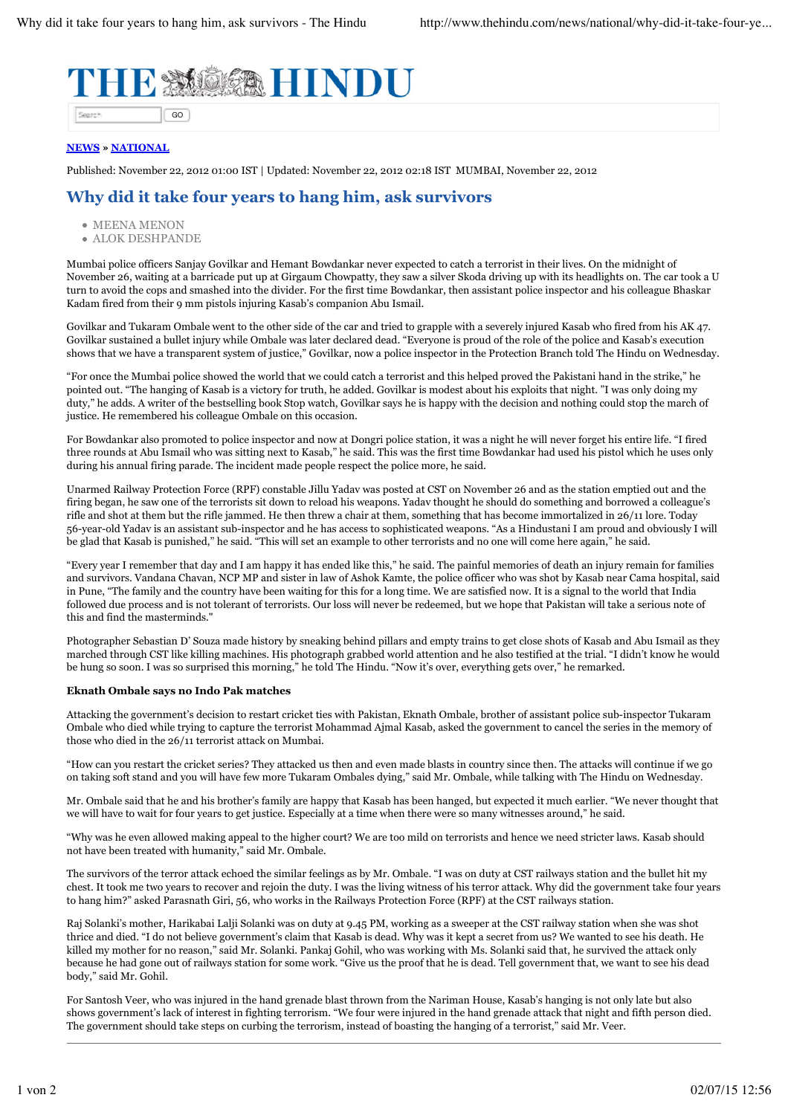

**NEWS » NATIONAL**

Published: November 22, 2012 01:00 IST | Updated: November 22, 2012 02:18 IST MUMBAI, November 22, 2012

## **Why did it take four years to hang him, ask survivors**

- MEENA MENON
- ALOK DESHPANDE

Mumbai police officers Sanjay Govilkar and Hemant Bowdankar never expected to catch a terrorist in their lives. On the midnight of November 26, waiting at a barricade put up at Girgaum Chowpatty, they saw a silver Skoda driving up with its headlights on. The car took a U turn to avoid the cops and smashed into the divider. For the first time Bowdankar, then assistant police inspector and his colleague Bhaskar Kadam fired from their 9 mm pistols injuring Kasab's companion Abu Ismail.

Govilkar and Tukaram Ombale went to the other side of the car and tried to grapple with a severely injured Kasab who fired from his AK 47. Govilkar sustained a bullet injury while Ombale was later declared dead. "Everyone is proud of the role of the police and Kasab's execution shows that we have a transparent system of justice," Govilkar, now a police inspector in the Protection Branch told The Hindu on Wednesday.

"For once the Mumbai police showed the world that we could catch a terrorist and this helped proved the Pakistani hand in the strike," he pointed out. "The hanging of Kasab is a victory for truth, he added. Govilkar is modest about his exploits that night. "I was only doing my duty," he adds. A writer of the bestselling book Stop watch, Govilkar says he is happy with the decision and nothing could stop the march of justice. He remembered his colleague Ombale on this occasion.

For Bowdankar also promoted to police inspector and now at Dongri police station, it was a night he will never forget his entire life. "I fired three rounds at Abu Ismail who was sitting next to Kasab," he said. This was the first time Bowdankar had used his pistol which he uses only during his annual firing parade. The incident made people respect the police more, he said.

Unarmed Railway Protection Force (RPF) constable Jillu Yadav was posted at CST on November 26 and as the station emptied out and the firing began, he saw one of the terrorists sit down to reload his weapons. Yadav thought he should do something and borrowed a colleague's rifle and shot at them but the rifle jammed. He then threw a chair at them, something that has become immortalized in 26/11 lore. Today 56-year-old Yadav is an assistant sub-inspector and he has access to sophisticated weapons. "As a Hindustani I am proud and obviously I will be glad that Kasab is punished," he said. "This will set an example to other terrorists and no one will come here again," he said.

"Every year I remember that day and I am happy it has ended like this," he said. The painful memories of death an injury remain for families and survivors. Vandana Chavan, NCP MP and sister in law of Ashok Kamte, the police officer who was shot by Kasab near Cama hospital, said in Pune, "The family and the country have been waiting for this for a long time. We are satisfied now. It is a signal to the world that India followed due process and is not tolerant of terrorists. Our loss will never be redeemed, but we hope that Pakistan will take a serious note of this and find the masterminds."

Photographer Sebastian D' Souza made history by sneaking behind pillars and empty trains to get close shots of Kasab and Abu Ismail as they marched through CST like killing machines. His photograph grabbed world attention and he also testified at the trial. "I didn't know he would be hung so soon. I was so surprised this morning," he told The Hindu. "Now it's over, everything gets over," he remarked.

## **Eknath Ombale says no Indo Pak matches**

Attacking the government's decision to restart cricket ties with Pakistan, Eknath Ombale, brother of assistant police sub-inspector Tukaram Ombale who died while trying to capture the terrorist Mohammad Ajmal Kasab, asked the government to cancel the series in the memory of those who died in the 26/11 terrorist attack on Mumbai.

"How can you restart the cricket series? They attacked us then and even made blasts in country since then. The attacks will continue if we go on taking soft stand and you will have few more Tukaram Ombales dying," said Mr. Ombale, while talking with The Hindu on Wednesday.

Mr. Ombale said that he and his brother's family are happy that Kasab has been hanged, but expected it much earlier. "We never thought that we will have to wait for four years to get justice. Especially at a time when there were so many witnesses around," he said.

"Why was he even allowed making appeal to the higher court? We are too mild on terrorists and hence we need stricter laws. Kasab should not have been treated with humanity," said Mr. Ombale.

The survivors of the terror attack echoed the similar feelings as by Mr. Ombale. "I was on duty at CST railways station and the bullet hit my chest. It took me two years to recover and rejoin the duty. I was the living witness of his terror attack. Why did the government take four years to hang him?" asked Parasnath Giri, 56, who works in the Railways Protection Force (RPF) at the CST railways station.

Raj Solanki's mother, Harikabai Lalji Solanki was on duty at 9.45 PM, working as a sweeper at the CST railway station when she was shot thrice and died. "I do not believe government's claim that Kasab is dead. Why was it kept a secret from us? We wanted to see his death. He killed my mother for no reason," said Mr. Solanki. Pankaj Gohil, who was working with Ms. Solanki said that, he survived the attack only because he had gone out of railways station for some work. "Give us the proof that he is dead. Tell government that, we want to see his dead body," said Mr. Gohil.

For Santosh Veer, who was injured in the hand grenade blast thrown from the Nariman House, Kasab's hanging is not only late but also shows government's lack of interest in fighting terrorism. "We four were injured in the hand grenade attack that night and fifth person died. The government should take steps on curbing the terrorism, instead of boasting the hanging of a terrorist," said Mr. Veer.